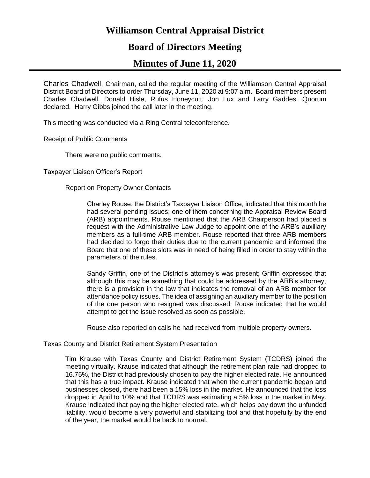# **Williamson Central Appraisal District**

# **Board of Directors Meeting**

# **Minutes of June 11, 2020**

Charles Chadwell, Chairman, called the regular meeting of the Williamson Central Appraisal District Board of Directors to order Thursday, June 11, 2020 at 9:07 a.m. Board members present Charles Chadwell, Donald Hisle, Rufus Honeycutt, Jon Lux and Larry Gaddes. Quorum declared. Harry Gibbs joined the call later in the meeting.

This meeting was conducted via a Ring Central teleconference.

Receipt of Public Comments

There were no public comments.

Taxpayer Liaison Officer's Report

Report on Property Owner Contacts

Charley Rouse, the District's Taxpayer Liaison Office, indicated that this month he had several pending issues; one of them concerning the Appraisal Review Board (ARB) appointments. Rouse mentioned that the ARB Chairperson had placed a request with the Administrative Law Judge to appoint one of the ARB's auxiliary members as a full-time ARB member. Rouse reported that three ARB members had decided to forgo their duties due to the current pandemic and informed the Board that one of these slots was in need of being filled in order to stay within the parameters of the rules.

Sandy Griffin, one of the District's attorney's was present; Griffin expressed that although this may be something that could be addressed by the ARB's attorney, there is a provision in the law that indicates the removal of an ARB member for attendance policy issues. The idea of assigning an auxiliary member to the position of the one person who resigned was discussed. Rouse indicated that he would attempt to get the issue resolved as soon as possible.

Rouse also reported on calls he had received from multiple property owners.

Texas County and District Retirement System Presentation

Tim Krause with Texas County and District Retirement System (TCDRS) joined the meeting virtually. Krause indicated that although the retirement plan rate had dropped to 16.75%, the District had previously chosen to pay the higher elected rate. He announced that this has a true impact. Krause indicated that when the current pandemic began and businesses closed, there had been a 15% loss in the market. He announced that the loss dropped in April to 10% and that TCDRS was estimating a 5% loss in the market in May. Krause indicated that paying the higher elected rate, which helps pay down the unfunded liability, would become a very powerful and stabilizing tool and that hopefully by the end of the year, the market would be back to normal.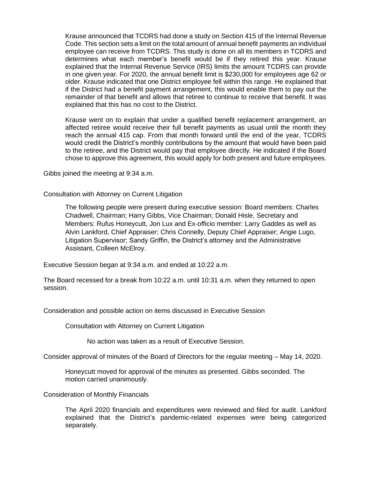Krause announced that TCDRS had done a study on Section 415 of the Internal Revenue Code. This section sets a limit on the total amount of annual benefit payments an individual employee can receive from TCDRS. This study is done on all its members in TCDRS and determines what each member's benefit would be if they retired this year. Krause explained that the Internal Revenue Service (IRS) limits the amount TCDRS can provide in one given year. For 2020, the annual benefit limit is \$230,000 for employees age 62 or older. Krause indicated that one District employee fell within this range. He explained that if the District had a benefit payment arrangement, this would enable them to pay out the remainder of that benefit and allows that retiree to continue to receive that benefit. It was explained that this has no cost to the District.

Krause went on to explain that under a qualified benefit replacement arrangement, an affected retiree would receive their full benefit payments as usual until the month they reach the annual 415 cap. From that month forward until the end of the year, TCDRS would credit the District's monthly contributions by the amount that would have been paid to the retiree, and the District would pay that employee directly. He indicated if the Board chose to approve this agreement, this would apply for both present and future employees.

Gibbs joined the meeting at 9:34 a.m.

Consultation with Attorney on Current Litigation

The following people were present during executive session: Board members: Charles Chadwell, Chairman; Harry Gibbs, Vice Chairman; Donald Hisle, Secretary and Members: Rufus Honeycutt, Jon Lux and Ex-officio member: Larry Gaddes as well as Alvin Lankford, Chief Appraiser; Chris Connelly, Deputy Chief Appraiser; Angie Lugo, Litigation Supervisor; Sandy Griffin, the District's attorney and the Administrative Assistant, Colleen McElroy.

Executive Session began at 9:34 a.m. and ended at 10:22 a.m.

The Board recessed for a break from 10:22 a.m. until 10:31 a.m. when they returned to open session.

Consideration and possible action on items discussed in Executive Session

Consultation with Attorney on Current Litigation

No action was taken as a result of Executive Session.

Consider approval of minutes of the Board of Directors for the regular meeting – May 14, 2020.

Honeycutt moved for approval of the minutes as presented. Gibbs seconded. The motion carried unanimously.

Consideration of Monthly Financials

The April 2020 financials and expenditures were reviewed and filed for audit. Lankford explained that the District's pandemic-related expenses were being categorized separately.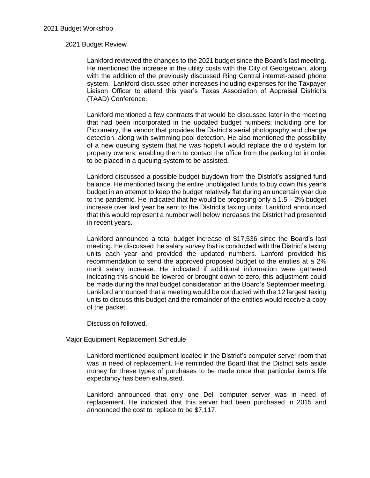## 2021 Budget Review

Lankford reviewed the changes to the 2021 budget since the Board's last meeting. He mentioned the increase in the utility costs with the City of Georgetown, along with the addition of the previously discussed Ring Central internet-based phone system. Lankford discussed other increases including expenses for the Taxpayer Liaison Officer to attend this year's Texas Association of Appraisal District's (TAAD) Conference.

Lankford mentioned a few contracts that would be discussed later in the meeting that had been incorporated in the updated budget numbers; including one for Pictometry, the vendor that provides the District's aerial photography and change detection, along with swimming pool detection. He also mentioned the possibility of a new queuing system that he was hopeful would replace the old system for property owners; enabling them to contact the office from the parking lot in order to be placed in a queuing system to be assisted.

Lankford discussed a possible budget buydown from the District's assigned fund balance. He mentioned taking the entire unobligated funds to buy down this year's budget in an attempt to keep the budget relatively flat during an uncertain year due to the pandemic. He indicated that he would be proposing only a  $1.5 - 2\%$  budget increase over last year be sent to the District's taxing units. Lankford announced that this would represent a number well below increases the District had presented in recent years.

Lankford announced a total budget increase of \$17,536 since the Board's last meeting. He discussed the salary survey that is conducted with the District's taxing units each year and provided the updated numbers. Lanford provided his recommendation to send the approved proposed budget to the entities at a 2% merit salary increase. He indicated if additional information were gathered indicating this should be lowered or brought down to zero, this adjustment could be made during the final budget consideration at the Board's September meeting. Lankford announced that a meeting would be conducted with the 12 largest taxing units to discuss this budget and the remainder of the entities would receive a copy of the packet.

Discussion followed.

Major Equipment Replacement Schedule

Lankford mentioned equipment located in the District's computer server room that was in need of replacement. He reminded the Board that the District sets aside money for these types of purchases to be made once that particular item's life expectancy has been exhausted.

Lankford announced that only one Dell computer server was in need of replacement. He indicated that this server had been purchased in 2015 and announced the cost to replace to be \$7,117.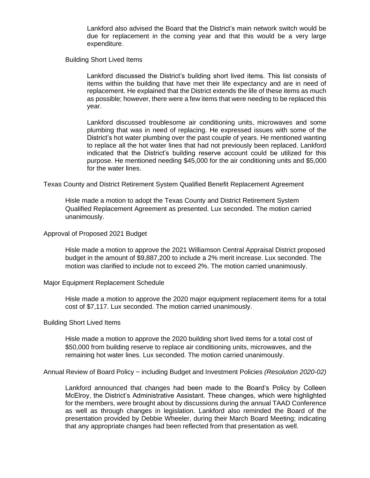Lankford also advised the Board that the District's main network switch would be due for replacement in the coming year and that this would be a very large expenditure.

Building Short Lived Items

Lankford discussed the District's building short lived items. This list consists of items within the building that have met their life expectancy and are in need of replacement. He explained that the District extends the life of these items as much as possible; however, there were a few items that were needing to be replaced this year.

Lankford discussed troublesome air conditioning units, microwaves and some plumbing that was in need of replacing. He expressed issues with some of the District's hot water plumbing over the past couple of years. He mentioned wanting to replace all the hot water lines that had not previously been replaced. Lankford indicated that the District's building reserve account could be utilized for this purpose. He mentioned needing \$45,000 for the air conditioning units and \$5,000 for the water lines.

Texas County and District Retirement System Qualified Benefit Replacement Agreement

Hisle made a motion to adopt the Texas County and District Retirement System Qualified Replacement Agreement as presented. Lux seconded. The motion carried unanimously.

Approval of Proposed 2021 Budget

Hisle made a motion to approve the 2021 Williamson Central Appraisal District proposed budget in the amount of \$9,887,200 to include a 2% merit increase. Lux seconded. The motion was clarified to include not to exceed 2%. The motion carried unanimously.

Major Equipment Replacement Schedule

Hisle made a motion to approve the 2020 major equipment replacement items for a total cost of \$7,117. Lux seconded. The motion carried unanimously.

## Building Short Lived Items

Hisle made a motion to approve the 2020 building short lived items for a total cost of \$50,000 from building reserve to replace air conditioning units, microwaves, and the remaining hot water lines. Lux seconded. The motion carried unanimously.

Annual Review of Board Policy ~ including Budget and Investment Policies *(Resolution 2020-02)*

Lankford announced that changes had been made to the Board's Policy by Colleen McElroy, the District's Administrative Assistant. These changes, which were highlighted for the members, were brought about by discussions during the annual TAAD Conference as well as through changes in legislation. Lankford also reminded the Board of the presentation provided by Debbie Wheeler, during their March Board Meeting; indicating that any appropriate changes had been reflected from that presentation as well.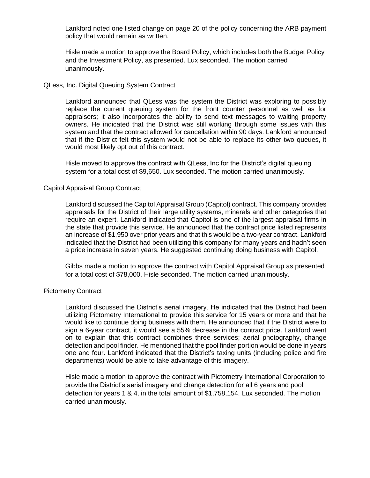Lankford noted one listed change on page 20 of the policy concerning the ARB payment policy that would remain as written.

Hisle made a motion to approve the Board Policy, which includes both the Budget Policy and the Investment Policy, as presented. Lux seconded. The motion carried unanimously.

## QLess, Inc. Digital Queuing System Contract

Lankford announced that QLess was the system the District was exploring to possibly replace the current queuing system for the front counter personnel as well as for appraisers; it also incorporates the ability to send text messages to waiting property owners. He indicated that the District was still working through some issues with this system and that the contract allowed for cancellation within 90 days. Lankford announced that if the District felt this system would not be able to replace its other two queues, it would most likely opt out of this contract.

Hisle moved to approve the contract with QLess, Inc for the District's digital queuing system for a total cost of \$9,650. Lux seconded. The motion carried unanimously.

## Capitol Appraisal Group Contract

Lankford discussed the Capitol Appraisal Group (Capitol) contract. This company provides appraisals for the District of their large utility systems, minerals and other categories that require an expert. Lankford indicated that Capitol is one of the largest appraisal firms in the state that provide this service. He announced that the contract price listed represents an increase of \$1,950 over prior years and that this would be a two-year contract. Lankford indicated that the District had been utilizing this company for many years and hadn't seen a price increase in seven years. He suggested continuing doing business with Capitol.

Gibbs made a motion to approve the contract with Capitol Appraisal Group as presented for a total cost of \$78,000. Hisle seconded. The motion carried unanimously.

#### Pictometry Contract

Lankford discussed the District's aerial imagery. He indicated that the District had been utilizing Pictometry International to provide this service for 15 years or more and that he would like to continue doing business with them. He announced that if the District were to sign a 6-year contract, it would see a 55% decrease in the contract price. Lankford went on to explain that this contract combines three services; aerial photography, change detection and pool finder. He mentioned that the pool finder portion would be done in years one and four. Lankford indicated that the District's taxing units (including police and fire departments) would be able to take advantage of this imagery.

Hisle made a motion to approve the contract with Pictometry International Corporation to provide the District's aerial imagery and change detection for all 6 years and pool detection for years 1 & 4, in the total amount of \$1,758,154. Lux seconded. The motion carried unanimously.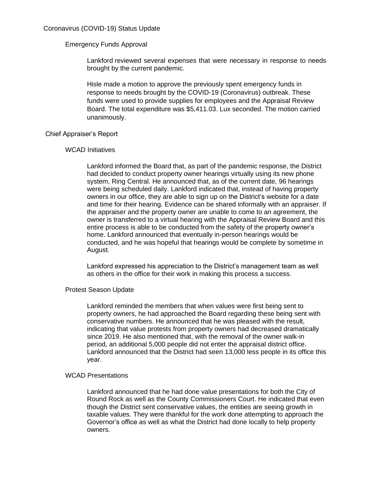# Emergency Funds Approval

Lankford reviewed several expenses that were necessary in response to needs brought by the current pandemic.

Hisle made a motion to approve the previously spent emergency funds in response to needs brought by the COVID-19 (Coronavirus) outbreak. These funds were used to provide supplies for employees and the Appraisal Review Board. The total expenditure was \$5,411.03. Lux seconded. The motion carried unanimously.

# Chief Appraiser's Report

# WCAD Initiatives

Lankford informed the Board that, as part of the pandemic response, the District had decided to conduct property owner hearings virtually using its new phone system, Ring Central. He announced that, as of the current date, 96 hearings were being scheduled daily. Lankford indicated that, instead of having property owners in our office, they are able to sign up on the District's website for a date and time for their hearing. Evidence can be shared informally with an appraiser. If the appraiser and the property owner are unable to come to an agreement, the owner is transferred to a virtual hearing with the Appraisal Review Board and this entire process is able to be conducted from the safety of the property owner's home. Lankford announced that eventually in-person hearings would be conducted, and he was hopeful that hearings would be complete by sometime in August.

Lankford expressed his appreciation to the District's management team as well as others in the office for their work in making this process a success.

## Protest Season Update

Lankford reminded the members that when values were first being sent to property owners, he had approached the Board regarding these being sent with conservative numbers. He announced that he was pleased with the result, indicating that value protests from property owners had decreased dramatically since 2019. He also mentioned that, with the removal of the owner walk-in period, an additional 5,000 people did not enter the appraisal district office. Lankford announced that the District had seen 13,000 less people in its office this year.

## WCAD Presentations

Lankford announced that he had done value presentations for both the City of Round Rock as well as the County Commissioners Court. He indicated that even though the District sent conservative values, the entities are seeing growth in taxable values. They were thankful for the work done attempting to approach the Governor's office as well as what the District had done locally to help property owners.